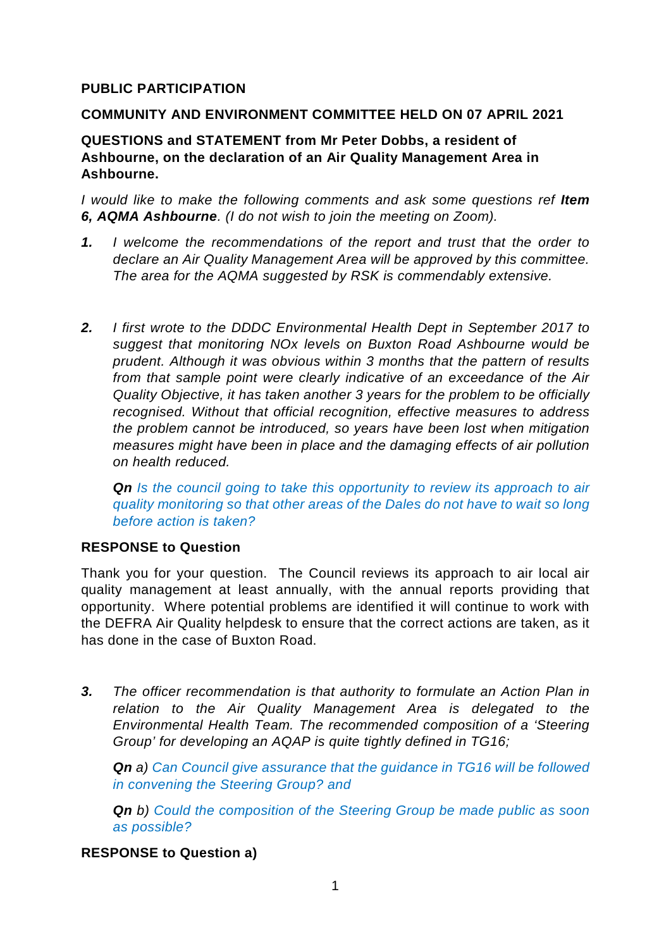## **PUBLIC PARTICIPATION**

#### **COMMUNITY AND ENVIRONMENT COMMITTEE HELD ON 07 APRIL 2021**

### **QUESTIONS and STATEMENT from Mr Peter Dobbs, a resident of Ashbourne, on the declaration of an Air Quality Management Area in Ashbourne.**

*I would like to make the following comments and ask some questions ref Item 6, AQMA Ashbourne. (I do not wish to join the meeting on Zoom).*

- *1. I welcome the recommendations of the report and trust that the order to declare an Air Quality Management Area will be approved by this committee. The area for the AQMA suggested by RSK is commendably extensive.*
- *2. I first wrote to the DDDC Environmental Health Dept in September 2017 to suggest that monitoring NOx levels on Buxton Road Ashbourne would be prudent. Although it was obvious within 3 months that the pattern of results from that sample point were clearly indicative of an exceedance of the Air Quality Objective, it has taken another 3 years for the problem to be officially recognised. Without that official recognition, effective measures to address the problem cannot be introduced, so years have been lost when mitigation measures might have been in place and the damaging effects of air pollution on health reduced.*

*Qn Is the council going to take this opportunity to review its approach to air quality monitoring so that other areas of the Dales do not have to wait so long before action is taken?*

#### **RESPONSE to Question**

Thank you for your question. The Council reviews its approach to air local air quality management at least annually, with the annual reports providing that opportunity. Where potential problems are identified it will continue to work with the DEFRA Air Quality helpdesk to ensure that the correct actions are taken, as it has done in the case of Buxton Road.

*3. The officer recommendation is that authority to formulate an Action Plan in relation to the Air Quality Management Area is delegated to the Environmental Health Team. The recommended composition of a 'Steering Group' for developing an AQAP is quite tightly defined in TG16;*

*Qn a) Can Council give assurance that the guidance in TG16 will be followed in convening the Steering Group? and* 

*Qn b) Could the composition of the Steering Group be made public as soon as possible?*

#### **RESPONSE to Question a)**